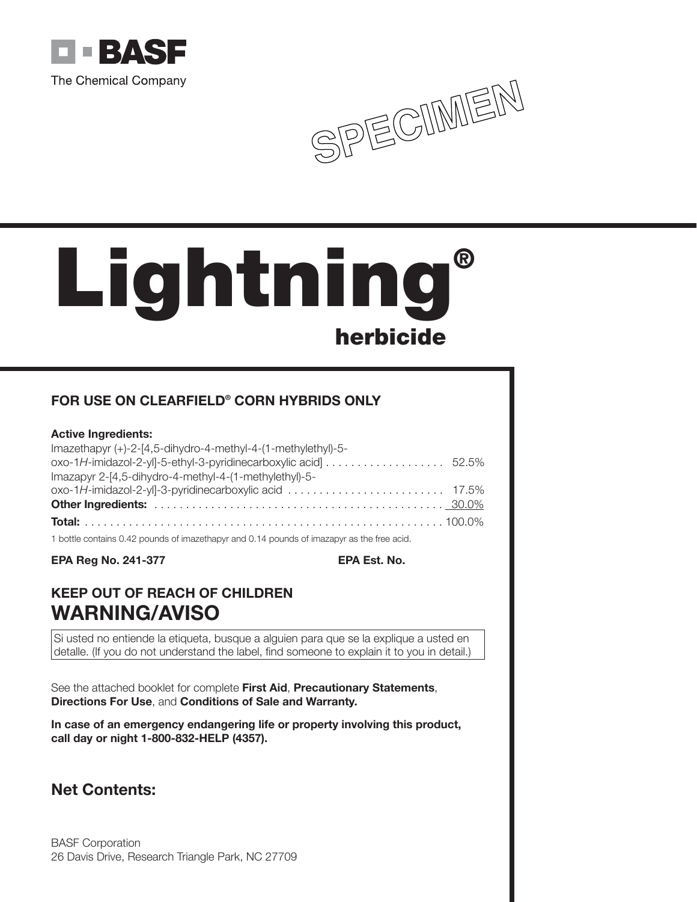



# **Lightning® herbicide**

# **FOR USE ON CLEARFIELD® CORN HYBRIDS ONLY**

# **Active Ingredients:**

| $Imazethayr (+)-2-[4,5-dihydro-4-methyl-4-(1-methylethyl)-5-$ |  |
|---------------------------------------------------------------|--|
|                                                               |  |
| Imazapyr 2-[4,5-dihydro-4-methyl-4-(1-methylethyl)-5-         |  |
|                                                               |  |
|                                                               |  |
|                                                               |  |

1 bottle contains 0.42 pounds of imazethapyr and 0.14 pounds of imazapyr as the free acid.

**EPA Reg No. 241-377 EPA Est. No.**

# **KEEP OUT OF REACH OF CHILDREN WARNING/AVISO**

Si usted no entiende la etiqueta, busque a alguien para que se la explique a usted en detalle. (If you do not understand the label, find someone to explain it to you in detail.)

See the attached booklet for complete **First Aid**, **Precautionary Statements**, **Directions For Use**, and **Conditions of Sale and Warranty.**

**In case of an emergency endangering life or property involving this product, call day or night 1-800-832-HELP (4357).**

# **Net Contents:**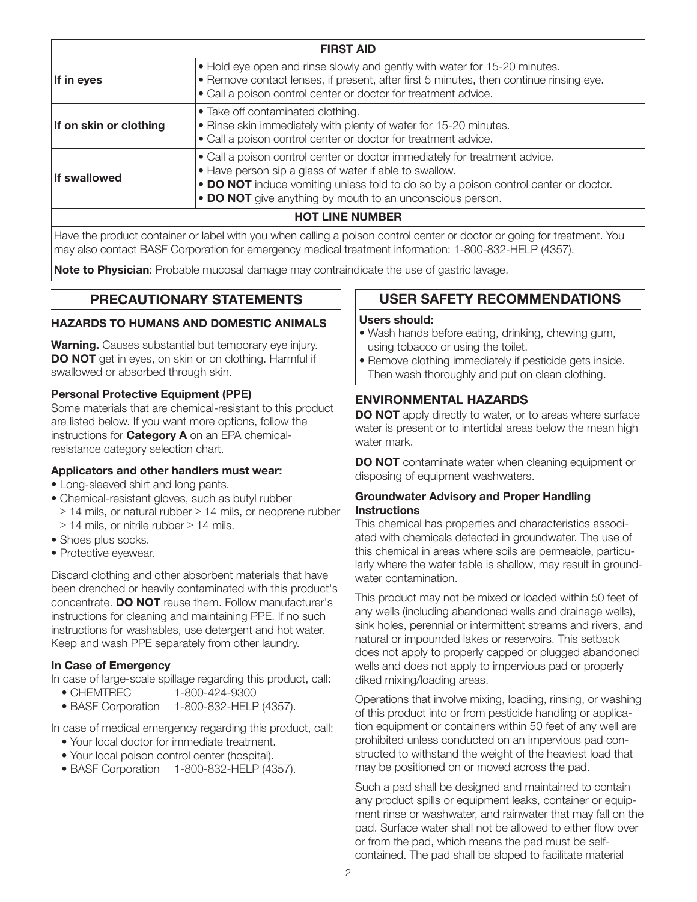| <b>FIRST AID</b>                                                                                                                                                                                                                                                                                                |                                                                                                                                                                                                                                       |
|-----------------------------------------------------------------------------------------------------------------------------------------------------------------------------------------------------------------------------------------------------------------------------------------------------------------|---------------------------------------------------------------------------------------------------------------------------------------------------------------------------------------------------------------------------------------|
| If in eyes                                                                                                                                                                                                                                                                                                      | . Hold eye open and rinse slowly and gently with water for 15-20 minutes.<br>. Remove contact lenses, if present, after first 5 minutes, then continue rinsing eye.<br>• Call a poison control center or doctor for treatment advice. |
| If on skin or clothing                                                                                                                                                                                                                                                                                          | • Take off contaminated clothing.<br>• Rinse skin immediately with plenty of water for 15-20 minutes.<br>• Call a poison control center or doctor for treatment advice.                                                               |
| • Call a poison control center or doctor immediately for treatment advice.<br>• Have person sip a glass of water if able to swallow.<br><b>If swallowed</b><br>• DO NOT induce vomiting unless told to do so by a poison control center or doctor.<br>• DO NOT give anything by mouth to an unconscious person. |                                                                                                                                                                                                                                       |
| <b>HOT LINE NUMBER</b>                                                                                                                                                                                                                                                                                          |                                                                                                                                                                                                                                       |

Have the product container or label with you when calling a poison control center or doctor or going for treatment. You may also contact BASF Corporation for emergency medical treatment information: 1-800-832-HELP (4357).

**Note to Physician**: Probable mucosal damage may contraindicate the use of gastric lavage.

# **PRECAUTIONARY STATEMENTS**

#### **HAZARDS TO HUMANS AND DOMESTIC ANIMALS**

**Warning.** Causes substantial but temporary eye injury. **DO NOT** get in eyes, on skin or on clothing. Harmful if swallowed or absorbed through skin.

#### **Personal Protective Equipment (PPE)**

Some materials that are chemical-resistant to this product are listed below. If you want more options, follow the instructions for **Category A** on an EPA chemicalresistance category selection chart.

#### **Applicators and other handlers must wear:**

- Long-sleeved shirt and long pants.
- Chemical-resistant gloves, such as butyl rubber ≥ 14 mils, or natural rubber ≥ 14 mils, or neoprene rubber  $\geq$  14 mils, or nitrile rubber  $\geq$  14 mils.
- Shoes plus socks.
- Protective eyewear.

Discard clothing and other absorbent materials that have been drenched or heavily contaminated with this product's concentrate. **DO NOT** reuse them. Follow manufacturer's instructions for cleaning and maintaining PPE. If no such instructions for washables, use detergent and hot water. Keep and wash PPE separately from other laundry.

# **In Case of Emergency**

In case of large-scale spillage regarding this product, call:

- CHEMTREC 1-800-424-9300
- BASF Corporation 1-800-832-HELP (4357).

In case of medical emergency regarding this product, call:

- Your local doctor for immediate treatment.
- Your local poison control center (hospital).
- BASF Corporation 1-800-832-HELP (4357).

# **USER SAFETY RECOMMENDATIONS**

# **Users should:**

- Wash hands before eating, drinking, chewing gum, using tobacco or using the toilet.
- Remove clothing immediately if pesticide gets inside. Then wash thoroughly and put on clean clothing.

# **ENVIRONMENTAL HAZARDS**

**DO NOT** apply directly to water, or to areas where surface water is present or to intertidal areas below the mean high water mark.

**DO NOT** contaminate water when cleaning equipment or disposing of equipment washwaters.

#### **Groundwater Advisory and Proper Handling Instructions**

This chemical has properties and characteristics associated with chemicals detected in groundwater. The use of this chemical in areas where soils are permeable, particularly where the water table is shallow, may result in groundwater contamination.

This product may not be mixed or loaded within 50 feet of any wells (including abandoned wells and drainage wells), sink holes, perennial or intermittent streams and rivers, and natural or impounded lakes or reservoirs. This setback does not apply to properly capped or plugged abandoned wells and does not apply to impervious pad or properly diked mixing/loading areas.

Operations that involve mixing, loading, rinsing, or washing of this product into or from pesticide handling or application equipment or containers within 50 feet of any well are prohibited unless conducted on an impervious pad constructed to withstand the weight of the heaviest load that may be positioned on or moved across the pad.

Such a pad shall be designed and maintained to contain any product spills or equipment leaks, container or equipment rinse or washwater, and rainwater that may fall on the pad. Surface water shall not be allowed to either flow over or from the pad, which means the pad must be selfcontained. The pad shall be sloped to facilitate material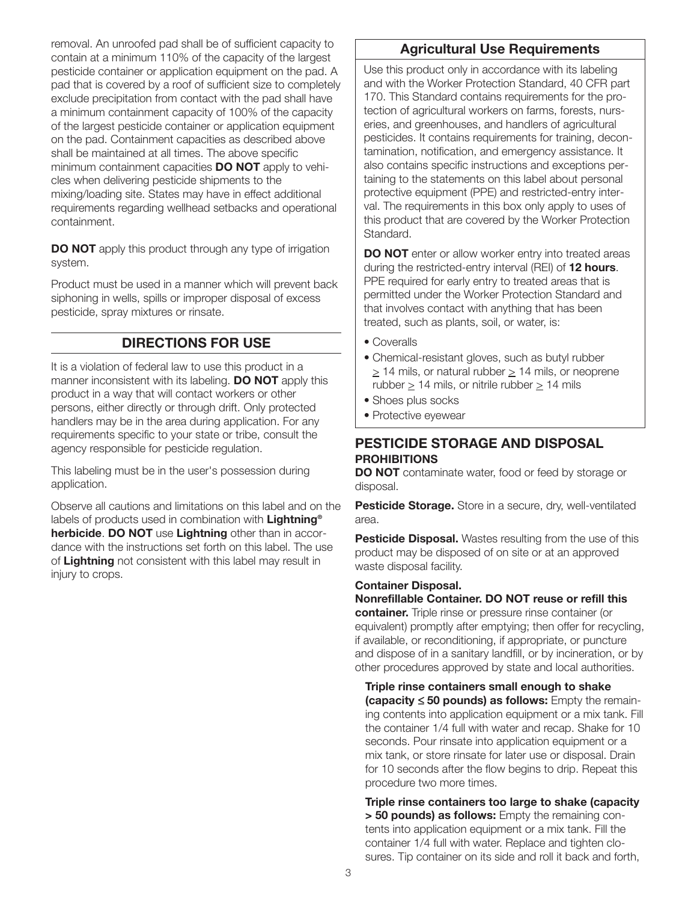removal. An unroofed pad shall be of sufficient capacity to contain at a minimum 110% of the capacity of the largest pesticide container or application equipment on the pad. A pad that is covered by a roof of sufficient size to completely exclude precipitation from contact with the pad shall have a minimum containment capacity of 100% of the capacity of the largest pesticide container or application equipment on the pad. Containment capacities as described above shall be maintained at all times. The above specific minimum containment capacities **DO NOT** apply to vehicles when delivering pesticide shipments to the mixing/loading site. States may have in effect additional requirements regarding wellhead setbacks and operational containment.

**DO NOT** apply this product through any type of irrigation system.

Product must be used in a manner which will prevent back siphoning in wells, spills or improper disposal of excess pesticide, spray mixtures or rinsate.

# **DIRECTIONS FOR USE**

It is a violation of federal law to use this product in a manner inconsistent with its labeling. **DO NOT** apply this product in a way that will contact workers or other persons, either directly or through drift. Only protected handlers may be in the area during application. For any requirements specific to your state or tribe, consult the agency responsible for pesticide regulation.

This labeling must be in the user's possession during application.

Observe all cautions and limitations on this label and on the labels of products used in combination with **Lightning® herbicide**. **DO NOT** use **Lightning** other than in accordance with the instructions set forth on this label. The use of **Lightning** not consistent with this label may result in injury to crops.

# **Agricultural Use Requirements**

Use this product only in accordance with its labeling and with the Worker Protection Standard, 40 CFR part 170. This Standard contains requirements for the protection of agricultural workers on farms, forests, nurseries, and greenhouses, and handlers of agricultural pesticides. It contains requirements for training, decontamination, notification, and emergency assistance. It also contains specific instructions and exceptions pertaining to the statements on this label about personal protective equipment (PPE) and restricted-entry interval. The requirements in this box only apply to uses of this product that are covered by the Worker Protection Standard.

**DO NOT** enter or allow worker entry into treated areas during the restricted-entry interval (REI) of **12 hours**. PPE required for early entry to treated areas that is permitted under the Worker Protection Standard and that involves contact with anything that has been treated, such as plants, soil, or water, is:

- Coveralls
- Chemical-resistant gloves, such as butyl rubber > 14 mils, or natural rubber > 14 mils, or neoprene rubber > 14 mils, or nitrile rubber > 14 mils
- Shoes plus socks
- Protective eyewear

# **PESTICIDE STORAGE AND DISPOSAL PROHIBITIONS**

**DO NOT** contaminate water, food or feed by storage or disposal.

**Pesticide Storage.** Store in a secure, dry, well-ventilated area.

**Pesticide Disposal.** Wastes resulting from the use of this product may be disposed of on site or at an approved waste disposal facility.

# **Container Disposal.**

**Nonrefillable Container. DO NOT reuse or refill this container.** Triple rinse or pressure rinse container (or equivalent) promptly after emptying; then offer for recycling, if available, or reconditioning, if appropriate, or puncture and dispose of in a sanitary landfill, or by incineration, or by other procedures approved by state and local authorities.

**Triple rinse containers small enough to shake (capacity** ≤ **50 pounds) as follows:** Empty the remaining contents into application equipment or a mix tank. Fill the container 1/4 full with water and recap. Shake for 10 seconds. Pour rinsate into application equipment or a mix tank, or store rinsate for later use or disposal. Drain for 10 seconds after the flow begins to drip. Repeat this procedure two more times.

**Triple rinse containers too large to shake (capacity > 50 pounds) as follows:** Empty the remaining contents into application equipment or a mix tank. Fill the container 1/4 full with water. Replace and tighten closures. Tip container on its side and roll it back and forth,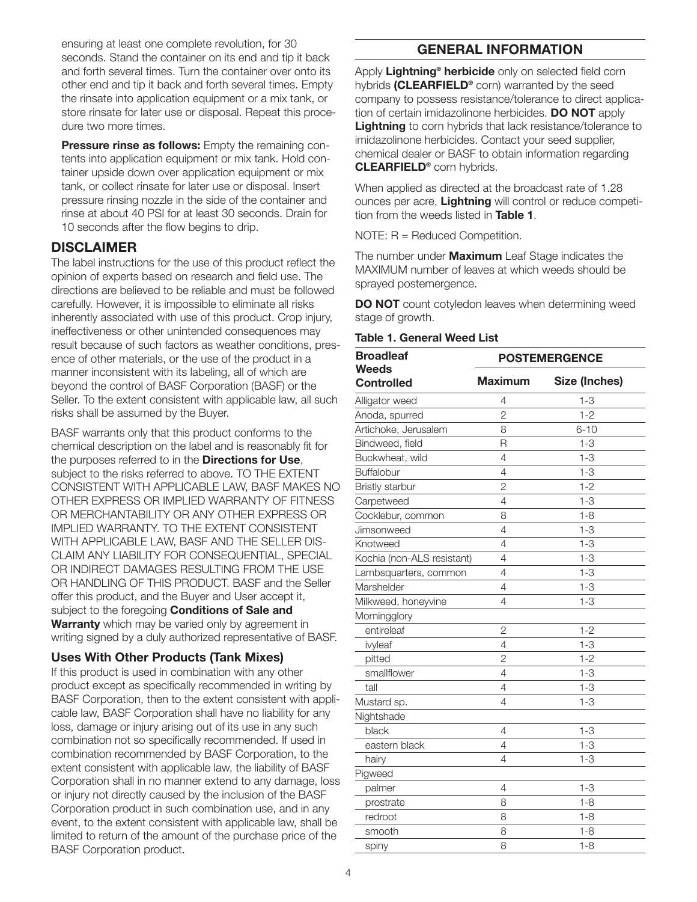ensuring at least one complete revolution, for 30 seconds. Stand the container on its end and tip it back and forth several times. Turn the container over onto its other end and tip it back and forth several times. Empty the rinsate into application equipment or a mix tank, or store rinsate for later use or disposal. Repeat this procedure two more times.

**Pressure rinse as follows:** Empty the remaining contents into application equipment or mix tank. Hold container upside down over application equipment or mix tank, or collect rinsate for later use or disposal. Insert pressure rinsing nozzle in the side of the container and rinse at about 40 PSI for at least 30 seconds. Drain for 10 seconds after the flow begins to drip.

# **DISCLAIMER**

The label instructions for the use of this product reflect the opinion of experts based on research and field use. The directions are believed to be reliable and must be followed carefully. However, it is impossible to eliminate all risks inherently associated with use of this product. Crop injury, ineffectiveness or other unintended consequences may result because of such factors as weather conditions, presence of other materials, or the use of the product in a manner inconsistent with its labeling, all of which are beyond the control of BASF Corporation (BASF) or the Seller. To the extent consistent with applicable law, all such risks shall be assumed by the Buyer.

BASF warrants only that this product conforms to the chemical description on the label and is reasonably fit for the purposes referred to in the **Directions for Use**, subject to the risks referred to above. TO THE EXTENT CONSISTENT WITH APPLICABLE LAW, BASF MAKES NO OTHER EXPRESS OR IMPLIED WARRANTY OF FITNESS OR MERCHANTABILITY OR ANY OTHER EXPRESS OR IMPLIED WARRANTY. TO THE EXTENT CONSISTENT WITH APPLICABLE LAW, BASF AND THE SELLER DIS-CLAIM ANY LIABILITY FOR CONSEQUENTIAL, SPECIAL OR INDIRECT DAMAGES RESULTING FROM THE USE OR HANDLING OF THIS PRODUCT. BASF and the Seller offer this product, and the Buyer and User accept it, subject to the foregoing **Conditions of Sale and Warranty** which may be varied only by agreement in writing signed by a duly authorized representative of BASF.

# **Uses With Other Products (Tank Mixes)**

If this product is used in combination with any other product except as specifically recommended in writing by BASF Corporation, then to the extent consistent with applicable law, BASF Corporation shall have no liability for any loss, damage or injury arising out of its use in any such combination not so specifically recommended. If used in combination recommended by BASF Corporation, to the extent consistent with applicable law, the liability of BASF Corporation shall in no manner extend to any damage, loss or injury not directly caused by the inclusion of the BASF Corporation product in such combination use, and in any event, to the extent consistent with applicable law, shall be limited to return of the amount of the purchase price of the BASF Corporation product.

# **GENERAL INFORMATION**

Apply **Lightning® herbicide** only on selected field corn hybrids **(CLEARFIELD®** corn) warranted by the seed company to possess resistance/tolerance to direct application of certain imidazolinone herbicides. **DO NOT** apply **Lightning** to corn hybrids that lack resistance/tolerance to imidazolinone herbicides. Contact your seed supplier, chemical dealer or BASF to obtain information regarding **CLEARFIELD®** corn hybrids.

When applied as directed at the broadcast rate of 1.28 ounces per acre, **Lightning** will control or reduce competition from the weeds listed in **Table 1**.

NOTE: R = Reduced Competition.

The number under **Maximum** Leaf Stage indicates the MAXIMUM number of leaves at which weeds should be sprayed postemergence.

**DO NOT** count cotyledon leaves when determining weed stage of growth.

# **Table 1. General Weed List**

| <b>Broadleaf</b>                  | <b>POSTEMERGENCE</b> |               |  |
|-----------------------------------|----------------------|---------------|--|
| <b>Weeds</b><br><b>Controlled</b> | <b>Maximum</b>       | Size (Inches) |  |
| Alligator weed                    | 4                    | $1 - 3$       |  |
| Anoda, spurred                    | $\overline{c}$       | $1 - 2$       |  |
| Artichoke, Jerusalem              | 8                    | $6 - 10$      |  |
| Bindweed, field                   | R                    | $1 - 3$       |  |
| Buckwheat, wild                   | $\overline{4}$       | $1 - 3$       |  |
| Buffalobur                        | $\overline{4}$       | $1 - 3$       |  |
| <b>Bristly starbur</b>            | $\overline{2}$       | $1 - 2$       |  |
| Carpetweed                        | 4                    | $1 - 3$       |  |
| Cocklebur, common                 | 8                    | $1 - 8$       |  |
| Jimsonweed                        | 4                    | $1 - 3$       |  |
| Knotweed                          | $\overline{4}$       | $1 - 3$       |  |
| Kochia (non-ALS resistant)        | $\overline{4}$       | $1 - 3$       |  |
| Lambsquarters, common             | 4                    | $1 - 3$       |  |
| Marshelder                        | 4                    | $1 - 3$       |  |
| Milkweed, honeyvine               | $\overline{4}$       | $1 - 3$       |  |
| Morningglory                      |                      |               |  |
| entireleaf                        | $\overline{2}$       | $1 - 2$       |  |
| ivyleaf                           | $\overline{4}$       | $1 - 3$       |  |
| pitted                            | $\overline{2}$       | $1 - 2$       |  |
| smallflower                       | $\overline{4}$       | $1 - 3$       |  |
| tall                              | 4                    | $1 - 3$       |  |
| Mustard sp.                       | $\overline{4}$       | $1 - 3$       |  |
| Nightshade                        |                      |               |  |
| black                             | 4                    | $1 - 3$       |  |
| eastern black                     | 4                    | $1 - 3$       |  |
| hairy                             | 4                    | $1 - 3$       |  |
| Pigweed                           |                      |               |  |
| palmer                            | $\overline{4}$       | $1 - 3$       |  |
| prostrate                         | 8                    | $1 - 8$       |  |
| redroot                           | 8                    | $1 - 8$       |  |
| smooth                            | 8                    | $1 - 8$       |  |
| spiny                             | 8                    | $1 - 8$       |  |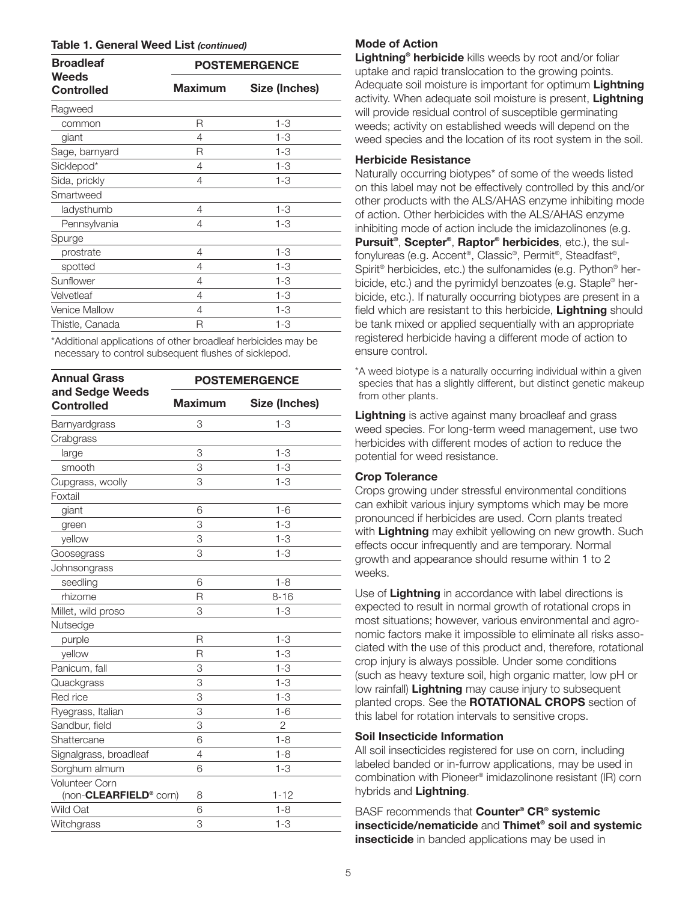#### **Table 1. General Weed List** *(continued)*

| <b>Broadleaf</b><br>Weeds<br><b>Controlled</b> | <b>POSTEMERGENCE</b> |               |
|------------------------------------------------|----------------------|---------------|
|                                                | <b>Maximum</b>       | Size (Inches) |
| Ragweed                                        |                      |               |
| common                                         | R                    | $1 - 3$       |
| giant                                          | 4                    | $1 - 3$       |
| Sage, barnyard                                 | R                    | 1-3           |
| Sicklepod*                                     | 4                    | $1 - 3$       |
| Sida, prickly                                  | 4                    | 1-3           |
| Smartweed                                      |                      |               |
| ladysthumb                                     | 4                    | $1 - 3$       |
| Pennsylvania                                   | 4                    | 1-3           |
| Spurge                                         |                      |               |
| prostrate                                      | 4                    | $1 - 3$       |
| spotted                                        | 4                    | 1-3           |
| Sunflower                                      | 4                    | 1-3           |
| Velvetleaf                                     | 4                    | 1-3           |
| <b>Venice Mallow</b>                           | 4                    | 1-3           |
| Thistle, Canada                                | R                    | 1-3           |
|                                                |                      |               |

\*Additional applications of other broadleaf herbicides may be necessary to control subsequent flushes of sicklepod.

| <b>Annual Grass</b>                  | <b>POSTEMERGENCE</b> |               |
|--------------------------------------|----------------------|---------------|
| and Sedge Weeds<br><b>Controlled</b> | <b>Maximum</b>       | Size (Inches) |
| Barnyardgrass                        | 3                    | $1 - 3$       |
| Crabgrass                            |                      |               |
| large                                | 3                    | $1 - 3$       |
| smooth                               | 3                    | $1 - 3$       |
| Cupgrass, woolly                     | 3                    | $1 - 3$       |
| Foxtail                              |                      |               |
| giant                                | 6                    | $1 - 6$       |
| green                                | 3                    | $1 - 3$       |
| yellow                               | 3                    | $1 - 3$       |
| Goosegrass                           | 3                    | $1 - 3$       |
| Johnsongrass                         |                      |               |
| seedling                             | 6                    | $1 - 8$       |
| rhizome                              | R                    | $8 - 16$      |
| Millet, wild proso                   | 3                    | $1 - 3$       |
| Nutsedge                             |                      |               |
| purple                               | $\overline{R}$       | $1 - 3$       |
| yellow                               | R                    | $1 - 3$       |
| Panicum, fall                        | 3                    | $1 - 3$       |
| Quackgrass                           | 3                    | $1 - 3$       |
| Red rice                             | 3                    | $1 - 3$       |
| Ryegrass, Italian                    | 3                    | $1 - 6$       |
| Sandbur, field                       | 3                    | 2             |
| Shattercane                          | 6                    | $1 - 8$       |
| Signalgrass, broadleaf               | 4                    | $1 - 8$       |
| Sorghum almum                        | 6                    | $1 - 3$       |
| <b>Volunteer Corn</b>                |                      |               |
| (non-CLEARFIELD <sup>®</sup> corn)   | 8                    | $1 - 12$      |
| Wild Oat                             | 6                    | $1 - 8$       |
| Witchgrass                           | 3                    | $1 - 3$       |

#### **Mode of Action**

**Lightning® herbicide** kills weeds by root and/or foliar uptake and rapid translocation to the growing points. Adequate soil moisture is important for optimum **Lightning** activity. When adequate soil moisture is present, **Lightning** will provide residual control of susceptible germinating weeds; activity on established weeds will depend on the weed species and the location of its root system in the soil.

#### **Herbicide Resistance**

Naturally occurring biotypes\* of some of the weeds listed on this label may not be effectively controlled by this and/or other products with the ALS/AHAS enzyme inhibiting mode of action. Other herbicides with the ALS/AHAS enzyme inhibiting mode of action include the imidazolinones (e.g. **Pursuit®**, **Scepter®, Raptor® herbicides**, etc.), the sulfonylureas (e.g. Accent®, Classic®, Permit®, Steadfast®, Spirit® herbicides, etc.) the sulfonamides (e.g. Python® herbicide, etc.) and the pyrimidyl benzoates (e.g. Staple® herbicide, etc.). If naturally occurring biotypes are present in a field which are resistant to this herbicide, **Lightning** should be tank mixed or applied sequentially with an appropriate registered herbicide having a different mode of action to ensure control.

\*A weed biotype is a naturally occurring individual within a given species that has a slightly different, but distinct genetic makeup from other plants.

**Lightning** is active against many broadleaf and grass weed species. For long-term weed management, use two herbicides with different modes of action to reduce the potential for weed resistance.

# **Crop Tolerance**

Crops growing under stressful environmental conditions can exhibit various injury symptoms which may be more pronounced if herbicides are used. Corn plants treated with **Lightning** may exhibit yellowing on new growth. Such effects occur infrequently and are temporary. Normal growth and appearance should resume within 1 to 2 weeks.

Use of **Lightning** in accordance with label directions is expected to result in normal growth of rotational crops in most situations; however, various environmental and agronomic factors make it impossible to eliminate all risks associated with the use of this product and, therefore, rotational crop injury is always possible. Under some conditions (such as heavy texture soil, high organic matter, low pH or low rainfall) **Lightning** may cause injury to subsequent planted crops. See the **ROTATIONAL CROPS** section of this label for rotation intervals to sensitive crops.

# **Soil Insecticide Information**

All soil insecticides registered for use on corn, including labeled banded or in-furrow applications, may be used in combination with Pioneer® imidazolinone resistant (IR) corn hybrids and **Lightning**.

BASF recommends that **Counter® CR® systemic insecticide/nematicide** and **Thimet® soil and systemic insecticide** in banded applications may be used in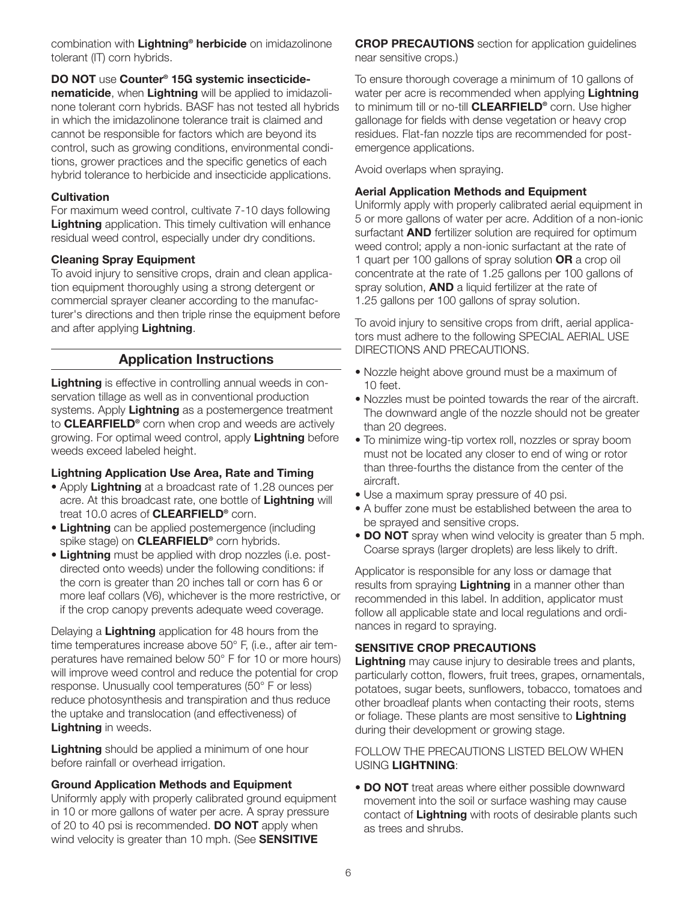combination with **Lightning® herbicide** on imidazolinone tolerant (IT) corn hybrids.

# **DO NOT** use **Counter® 15G systemic insecticide-**

**nematicide**, when **Lightning** will be applied to imidazolinone tolerant corn hybrids. BASF has not tested all hybrids in which the imidazolinone tolerance trait is claimed and cannot be responsible for factors which are beyond its control, such as growing conditions, environmental conditions, grower practices and the specific genetics of each hybrid tolerance to herbicide and insecticide applications.

# **Cultivation**

For maximum weed control, cultivate 7-10 days following **Lightning** application. This timely cultivation will enhance residual weed control, especially under dry conditions.

# **Cleaning Spray Equipment**

To avoid injury to sensitive crops, drain and clean application equipment thoroughly using a strong detergent or commercial sprayer cleaner according to the manufacturer's directions and then triple rinse the equipment before and after applying **Lightning**.

# **Application Instructions**

**Lightning** is effective in controlling annual weeds in conservation tillage as well as in conventional production systems. Apply **Lightning** as a postemergence treatment to **CLEARFIELD®** corn when crop and weeds are actively growing. For optimal weed control, apply **Lightning** before weeds exceed labeled height.

# **Lightning Application Use Area, Rate and Timing**

- Apply **Lightning** at a broadcast rate of 1.28 ounces per acre. At this broadcast rate, one bottle of **Lightning** will treat 10.0 acres of **CLEARFIELD®** corn.
- **Lightning** can be applied postemergence (including spike stage) on **CLEARFIELD®** corn hybrids.
- **Lightning** must be applied with drop nozzles (i.e. postdirected onto weeds) under the following conditions: if the corn is greater than 20 inches tall or corn has 6 or more leaf collars (V6), whichever is the more restrictive, or if the crop canopy prevents adequate weed coverage.

Delaying a **Lightning** application for 48 hours from the time temperatures increase above 50° F, (i.e., after air temperatures have remained below 50° F for 10 or more hours) will improve weed control and reduce the potential for crop response. Unusually cool temperatures (50° F or less) reduce photosynthesis and transpiration and thus reduce the uptake and translocation (and effectiveness) of **Lightning** in weeds.

**Lightning** should be applied a minimum of one hour before rainfall or overhead irrigation.

# **Ground Application Methods and Equipment**

Uniformly apply with properly calibrated ground equipment in 10 or more gallons of water per acre. A spray pressure of 20 to 40 psi is recommended. **DO NOT** apply when wind velocity is greater than 10 mph. (See **SENSITIVE**

**CROP PRECAUTIONS** section for application guidelines near sensitive crops.)

To ensure thorough coverage a minimum of 10 gallons of water per acre is recommended when applying **Lightning** to minimum till or no-till **CLEARFIELD®** corn. Use higher gallonage for fields with dense vegetation or heavy crop residues. Flat-fan nozzle tips are recommended for postemergence applications.

Avoid overlaps when spraying.

# **Aerial Application Methods and Equipment**

Uniformly apply with properly calibrated aerial equipment in 5 or more gallons of water per acre. Addition of a non-ionic surfactant **AND** fertilizer solution are required for optimum weed control; apply a non-ionic surfactant at the rate of 1 quart per 100 gallons of spray solution **OR** a crop oil concentrate at the rate of 1.25 gallons per 100 gallons of spray solution, **AND** a liquid fertilizer at the rate of 1.25 gallons per 100 gallons of spray solution.

To avoid injury to sensitive crops from drift, aerial applicators must adhere to the following SPECIAL AERIAL USE DIRECTIONS AND PRECAUTIONS.

- Nozzle height above ground must be a maximum of 10 feet.
- Nozzles must be pointed towards the rear of the aircraft. The downward angle of the nozzle should not be greater than 20 degrees.
- To minimize wing-tip vortex roll, nozzles or spray boom must not be located any closer to end of wing or rotor than three-fourths the distance from the center of the aircraft.
- Use a maximum spray pressure of 40 psi.
- A buffer zone must be established between the area to be sprayed and sensitive crops.
- **DO NOT** spray when wind velocity is greater than 5 mph. Coarse sprays (larger droplets) are less likely to drift.

Applicator is responsible for any loss or damage that results from spraying **Lightning** in a manner other than recommended in this label. In addition, applicator must follow all applicable state and local regulations and ordinances in regard to spraying.

# **SENSITIVE CROP PRECAUTIONS**

**Lightning** may cause injury to desirable trees and plants, particularly cotton, flowers, fruit trees, grapes, ornamentals, potatoes, sugar beets, sunflowers, tobacco, tomatoes and other broadleaf plants when contacting their roots, stems or foliage. These plants are most sensitive to **Lightning** during their development or growing stage.

# FOLLOW THE PRECAUTIONS LISTED BELOW WHEN USING **LIGHTNING**:

• **DO NOT** treat areas where either possible downward movement into the soil or surface washing may cause contact of **Lightning** with roots of desirable plants such as trees and shrubs.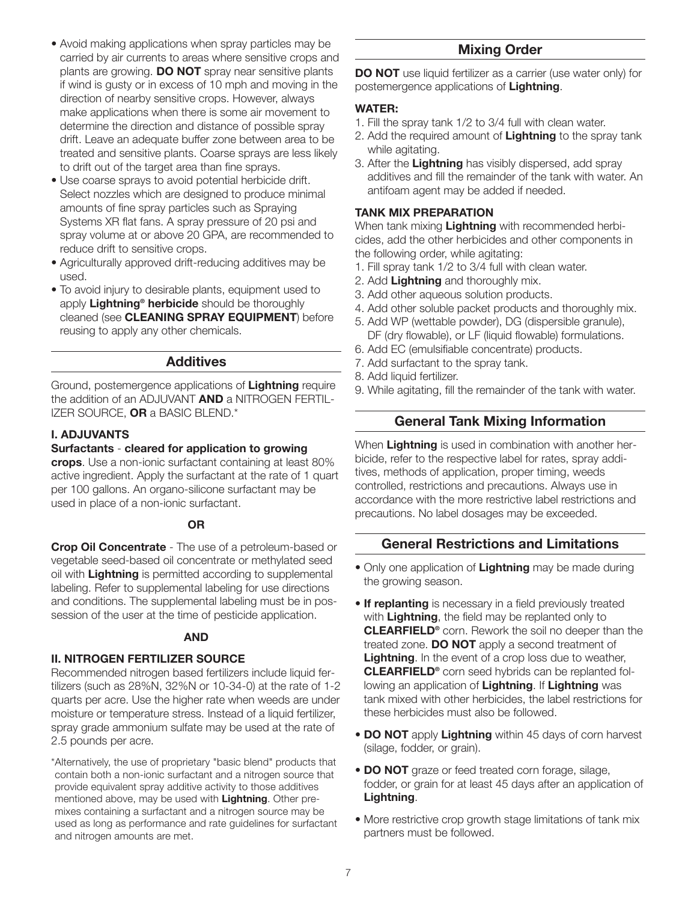- Avoid making applications when spray particles may be carried by air currents to areas where sensitive crops and plants are growing. **DO NOT** spray near sensitive plants if wind is gusty or in excess of 10 mph and moving in the direction of nearby sensitive crops. However, always make applications when there is some air movement to determine the direction and distance of possible spray drift. Leave an adequate buffer zone between area to be treated and sensitive plants. Coarse sprays are less likely to drift out of the target area than fine sprays.
- Use coarse sprays to avoid potential herbicide drift. Select nozzles which are designed to produce minimal amounts of fine spray particles such as Spraying Systems XR flat fans. A spray pressure of 20 psi and spray volume at or above 20 GPA, are recommended to reduce drift to sensitive crops.
- Agriculturally approved drift-reducing additives may be used.
- To avoid injury to desirable plants, equipment used to apply **Lightning® herbicide** should be thoroughly cleaned (see **CLEANING SPRAY EQUIPMENT**) before reusing to apply any other chemicals.

# **Additives**

Ground, postemergence applications of **Lightning** require the addition of an ADJUVANT **AND** a NITROGEN FERTIL-IZER SOURCE, **OR** a BASIC BLEND.\*

# **I. ADJUVANTS**

#### **Surfactants** - **cleared for application to growing**

**crops**. Use a non-ionic surfactant containing at least 80% active ingredient. Apply the surfactant at the rate of 1 quart per 100 gallons. An organo-silicone surfactant may be used in place of a non-ionic surfactant.

# **OR**

**Crop Oil Concentrate** - The use of a petroleum-based or vegetable seed-based oil concentrate or methylated seed oil with **Lightning** is permitted according to supplemental labeling. Refer to supplemental labeling for use directions and conditions. The supplemental labeling must be in possession of the user at the time of pesticide application.

#### **AND**

# **II. NITROGEN FERTILIZER SOURCE**

Recommended nitrogen based fertilizers include liquid fertilizers (such as 28%N, 32%N or 10-34-0) at the rate of 1-2 quarts per acre. Use the higher rate when weeds are under moisture or temperature stress. Instead of a liquid fertilizer, spray grade ammonium sulfate may be used at the rate of 2.5 pounds per acre.

\*Alternatively, the use of proprietary "basic blend" products that contain both a non-ionic surfactant and a nitrogen source that provide equivalent spray additive activity to those additives mentioned above, may be used with **Lightning**. Other premixes containing a surfactant and a nitrogen source may be used as long as performance and rate guidelines for surfactant and nitrogen amounts are met.

# **Mixing Order**

**DO NOT** use liquid fertilizer as a carrier (use water only) for postemergence applications of **Lightning**.

# **WATER:**

- 1. Fill the spray tank 1/2 to 3/4 full with clean water.
- 2. Add the required amount of **Lightning** to the spray tank while agitating.
- 3. After the **Lightning** has visibly dispersed, add spray additives and fill the remainder of the tank with water. An antifoam agent may be added if needed.

# **TANK MIX PREPARATION**

When tank mixing **Lightning** with recommended herbicides, add the other herbicides and other components in the following order, while agitating:

- 1. Fill spray tank 1/2 to 3/4 full with clean water.
- 2. Add **Lightning** and thoroughly mix.
- 3. Add other aqueous solution products.
- 4. Add other soluble packet products and thoroughly mix.
- 5. Add WP (wettable powder), DG (dispersible granule), DF (dry flowable), or LF (liquid flowable) formulations.
- 6. Add EC (emulsifiable concentrate) products.
- 7. Add surfactant to the spray tank.
- 8. Add liquid fertilizer.
- 9. While agitating, fill the remainder of the tank with water.

# **General Tank Mixing Information**

When **Lightning** is used in combination with another herbicide, refer to the respective label for rates, spray additives, methods of application, proper timing, weeds controlled, restrictions and precautions. Always use in accordance with the more restrictive label restrictions and precautions. No label dosages may be exceeded.

# **General Restrictions and Limitations**

- Only one application of **Lightning** may be made during the growing season.
- **If replanting** is necessary in a field previously treated with **Lightning**, the field may be replanted only to **CLEARFIELD®** corn. Rework the soil no deeper than the treated zone. **DO NOT** apply a second treatment of **Lightning**. In the event of a crop loss due to weather, **CLEARFIELD®** corn seed hybrids can be replanted following an application of **Lightning**. If **Lightning** was tank mixed with other herbicides, the label restrictions for these herbicides must also be followed.
- **DO NOT** apply **Lightning** within 45 days of corn harvest (silage, fodder, or grain).
- **DO NOT** graze or feed treated corn forage, silage, fodder, or grain for at least 45 days after an application of **Lightning**.
- More restrictive crop growth stage limitations of tank mix partners must be followed.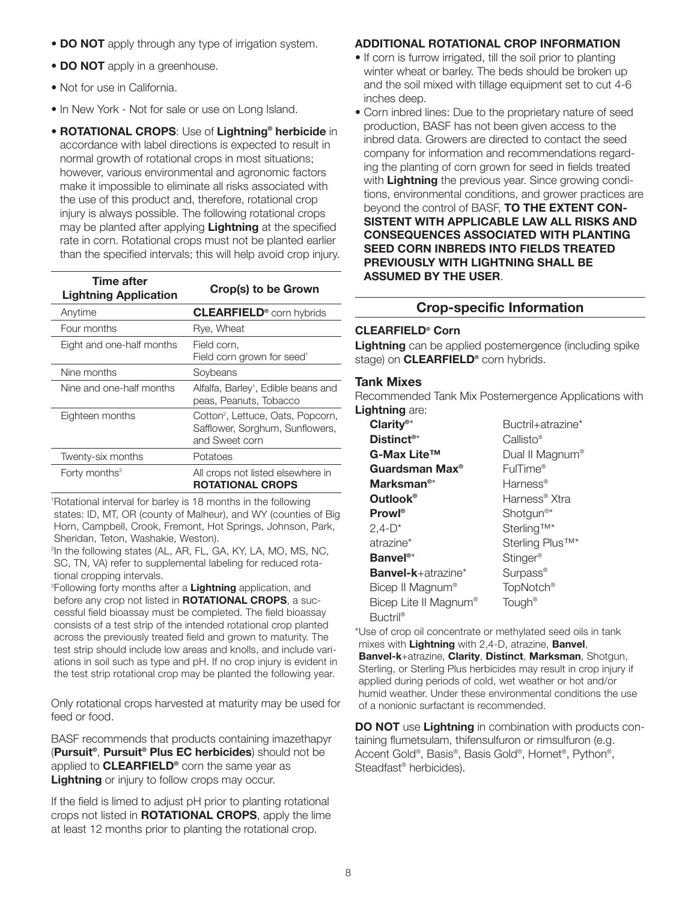- **DO NOT** apply through any type of irrigation system.
- **DO NOT** apply in a greenhouse.
- Not for use in California.
- In New York Not for sale or use on Long Island.
- **ROTATIONAL CROPS**: Use of **Lightning® herbicide** in accordance with label directions is expected to result in normal growth of rotational crops in most situations; however, various environmental and agronomic factors make it impossible to eliminate all risks associated with the use of this product and, therefore, rotational crop injury is always possible. The following rotational crops may be planted after applying **Lightning** at the specified rate in corn. Rotational crops must not be planted earlier than the specified intervals; this will help avoid crop injury.

| Time after<br><b>Lightning Application</b> | Crop(s) to be Grown                                                                                |
|--------------------------------------------|----------------------------------------------------------------------------------------------------|
| Anytime                                    | <b>CLEARFIELD<sup>®</sup></b> corn hybrids                                                         |
| Four months                                | Rye, Wheat                                                                                         |
| Eight and one-half months                  | Field corn.<br>Field corn grown for seed <sup>1</sup>                                              |
| Nine months                                | Soybeans                                                                                           |
| Nine and one-half months                   | Alfalfa, Barley <sup>1</sup> , Edible beans and<br>peas, Peanuts, Tobacco                          |
| Eighteen months                            | Cotton <sup>2</sup> , Lettuce, Oats, Popcorn,<br>Safflower, Sorghum, Sunflowers,<br>and Sweet corn |
| Twenty-six months                          | Potatoes                                                                                           |
| Forty months <sup>3</sup>                  | All crops not listed elsewhere in<br><b>ROTATIONAL CROPS</b>                                       |

1 Rotational interval for barley is 18 months in the following states: ID, MT, OR (county of Malheur), and WY (counties of Big Horn, Campbell, Crook, Fremont, Hot Springs, Johnson, Park, Sheridan, Teton, Washakie, Weston).

<sup>2</sup>In the following states (AL, AR, FL, GA, KY, LA, MO, MS, NC, SC, TN, VA) refer to supplemental labeling for reduced rotational cropping intervals.

3 Following forty months after a **Lightning** application, and before any crop not listed in **ROTATIONAL CROPS**, a successful field bioassay must be completed. The field bioassay consists of a test strip of the intended rotational crop planted across the previously treated field and grown to maturity. The test strip should include low areas and knolls, and include variations in soil such as type and pH. If no crop injury is evident in the test strip rotational crop may be planted the following year.

Only rotational crops harvested at maturity may be used for feed or food.

BASF recommends that products containing imazethapyr (**Pursuit®**, **Pursuit® Plus EC herbicides**) should not be applied to **CLEARFIELD®** corn the same year as **Lightning** or injury to follow crops may occur.

If the field is limed to adjust pH prior to planting rotational crops not listed in **ROTATIONAL CROPS**, apply the lime at least 12 months prior to planting the rotational crop.

# **ADDITIONAL ROTATIONAL CROP INFORMATION**

- If corn is furrow irrigated, till the soil prior to planting winter wheat or barley. The beds should be broken up and the soil mixed with tillage equipment set to cut 4-6 inches deep.
- Corn inbred lines: Due to the proprietary nature of seed production, BASF has not been given access to the inbred data. Growers are directed to contact the seed company for information and recommendations regarding the planting of corn grown for seed in fields treated with **Lightning** the previous year. Since growing conditions, environmental conditions, and grower practices are beyond the control of BASF, **TO THE EXTENT CON-SISTENT WITH APPLICABLE LAW ALL RISKS AND CONSEQUENCES ASSOCIATED WITH PLANTING SEED CORN INBREDS INTO FIELDS TREATED PREVIOUSLY WITH LIGHTNING SHALL BE ASSUMED BY THE USER**.

# **Crop-specific Information**

#### **CLEARFIELD® Corn**

**Lightning** can be applied postemergence (including spike stage) on **CLEARFIELD®** corn hybrids.

#### **Tank Mixes**

Recommended Tank Mix Postemergence Applications with **Lightning** are:

| Clarity <sup>®*</sup>             | Buctril+atrazine*           |
|-----------------------------------|-----------------------------|
| Distinct <sup>®*</sup>            | Callisto®                   |
| G-Max Lite™                       | Dual II Magnum <sup>®</sup> |
| Guardsman Max <sup>®</sup>        | FulTime®                    |
| Marksman <sup>®*</sup>            | Harness <sup>®</sup>        |
| Outlook®                          | Harness <sup>®</sup> Xtra   |
| $Prown^{\otimes}$                 | Shotgun <sup>®*</sup>       |
| $2,4-D^*$                         | Sterling <sup>™*</sup>      |
| atrazine*                         | Sterling Plus™*             |
| Banvel <sup>®*</sup>              | Stinger <sup>®</sup>        |
| <b>Banvel-k</b> +atrazine*        | Surpass <sup>®</sup>        |
| Bicep II Magnum <sup>®</sup>      | TopNotch <sup>®</sup>       |
| Bicep Lite II Magnum <sup>®</sup> | Tough <sup>®</sup>          |
| <b>Buctril</b> ®                  |                             |

\*Use of crop oil concentrate or methylated seed oils in tank mixes with **Lightning** with 2,4-D, atrazine, **Banvel**,

**Banvel-k**+atrazine, **Clarity**, **Distinct**, **Marksman**, Shotgun, Sterling, or Sterling Plus herbicides may result in crop injury if applied during periods of cold, wet weather or hot and/or humid weather. Under these environmental conditions the use of a nonionic surfactant is recommended.

**DO NOT** use **Lightning** in combination with products containing flumetsulam, thifensulfuron or rimsulfuron (e.g. Accent Gold®, Basis®, Basis Gold®, Hornet®, Python®, Steadfast® herbicides).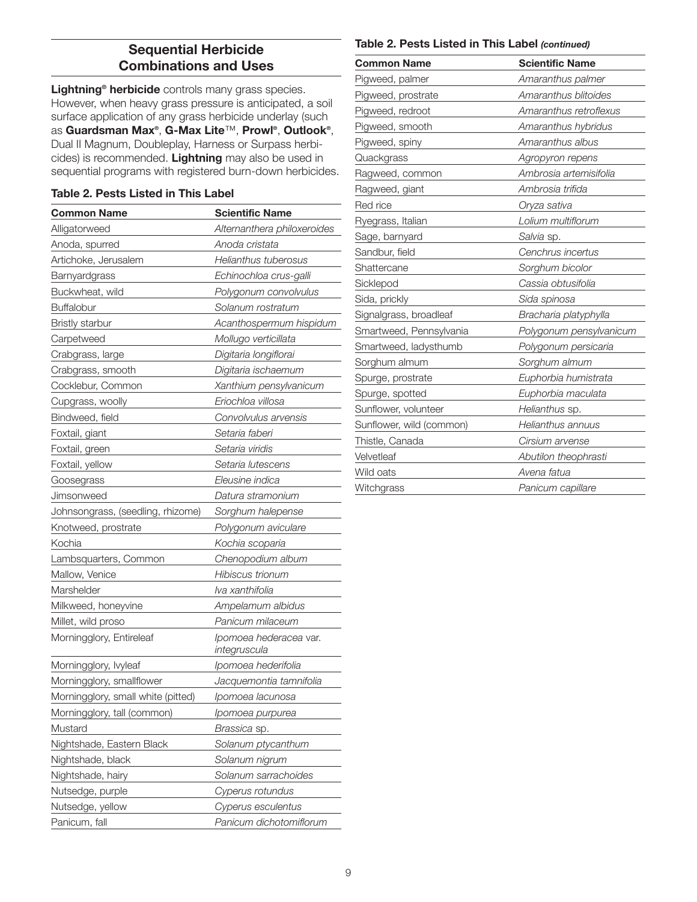# **Sequential Herbicide Combinations and Uses**

**Lightning® herbicide** controls many grass species. However, when heavy grass pressure is anticipated, a soil surface application of any grass herbicide underlay (such as **Guardsman Max®**, **G-Max Lite**™, **Prowl®**, **Outlook®**, Dual II Magnum, Doubleplay, Harness or Surpass herbicides) is recommended. **Lightning** may also be used in sequential programs with registered burn-down herbicides.

#### **Table 2. Pests Listed in This Label**

| <b>Common Name</b>                 | <b>Scientific Name</b>                 |
|------------------------------------|----------------------------------------|
| Alligatorweed                      | Alternanthera philoxeroides            |
| Anoda, spurred                     | Anoda cristata                         |
| Artichoke, Jerusalem               | Helianthus tuberosus                   |
| Barnyardgrass                      | Echinochloa crus-galli                 |
| Buckwheat, wild                    | Polygonum convolvulus                  |
| <b>Buffalobur</b>                  | Solanum rostratum                      |
| <b>Bristly starbur</b>             | Acanthospermum hispidum                |
| Carpetweed                         | Mollugo verticillata                   |
| Crabgrass, large                   | Digitaria longiflorai                  |
| Crabgrass, smooth                  | Digitaria ischaemum                    |
| Cocklebur, Common                  | Xanthium pensylvanicum                 |
| Cupgrass, woolly                   | Eriochloa villosa                      |
| Bindweed, field                    | Convolvulus arvensis                   |
| Foxtail, giant                     | Setaria faberi                         |
| Foxtail, green                     | Setaria viridis                        |
| Foxtail, yellow                    | Setaria lutescens                      |
| Goosegrass                         | Eleusine indica                        |
| Jimsonweed                         | Datura stramonium                      |
| Johnsongrass, (seedling, rhizome)  | Sorghum halepense                      |
| Knotweed, prostrate                | Polygonum aviculare                    |
| Kochia                             | Kochia scoparia                        |
| Lambsquarters, Common              | Chenopodium album                      |
| Mallow, Venice                     | Hibiscus trionum                       |
| Marshelder                         | lva xanthifolia                        |
| Milkweed, honeyvine                | Ampelamum albidus                      |
| Millet, wild proso                 | Panicum milaceum                       |
| Morningglory, Entireleaf           | Ipomoea hederacea var.<br>integruscula |
| Morningglory, lvyleaf              | Ipomoea hederifolia                    |
| Morningglory, smallflower          | Jacquemontia tamnifolia                |
| Morningglory, small white (pitted) | Ipomoea lacunosa                       |
| Morningglory, tall (common)        | Ipomoea purpurea                       |
| Mustard                            | <i>Brassica</i> sp.                    |
| Nightshade, Eastern Black          | Solanum ptycanthum                     |
| Nightshade, black                  | Solanum nigrum                         |
| Nightshade, hairy                  | Solanum sarrachoides                   |
| Nutsedge, purple                   | Cyperus rotundus                       |
| Nutsedge, yellow                   | Cyperus esculentus                     |
| Panicum, fall                      | Panicum dichotomiflorum                |

#### **Table 2. Pests Listed in This Label** *(continued)*

| <b>Common Name</b>       | <b>Scientific Name</b>  |
|--------------------------|-------------------------|
| Pigweed, palmer          | Amaranthus palmer       |
| Pigweed, prostrate       | Amaranthus blitoides    |
| Pigweed, redroot         | Amaranthus retroflexus  |
| Pigweed, smooth          | Amaranthus hybridus     |
| Pigweed, spiny           | Amaranthus albus        |
| Quackgrass               | Agropyron repens        |
| Ragweed, common          | Ambrosia artemisifolia  |
| Ragweed, giant           | Ambrosia trifida        |
| Red rice                 | Oryza sativa            |
| Ryegrass, Italian        | Lolium multiflorum      |
| Sage, barnyard           | Salvia sp.              |
| Sandbur, field           | Cenchrus incertus       |
| Shattercane              | Sorghum bicolor         |
| Sicklepod                | Cassia obtusifolia      |
| Sida, prickly            | Sida spinosa            |
| Signalgrass, broadleaf   | Bracharia platyphylla   |
| Smartweed, Pennsylvania  | Polygonum pensylvanicum |
| Smartweed, ladysthumb    | Polygonum persicaria    |
| Sorghum almum            | Sorghum almum           |
| Spurge, prostrate        | Euphorbia humistrata    |
| Spurge, spotted          | Euphorbia maculata      |
| Sunflower, volunteer     | Helianthus sp.          |
| Sunflower, wild (common) | Helianthus annuus       |
| Thistle, Canada          | Cirsium arvense         |
| Velvetleaf               | Abutilon theophrasti    |
| Wild oats                | Avena fatua             |
| Witchgrass               | Panicum capillare       |